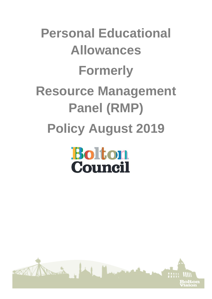# **Personal Educational Allowances Formerly Resource Management Panel (RMP) Policy August 2019**

## **Bolton** Council

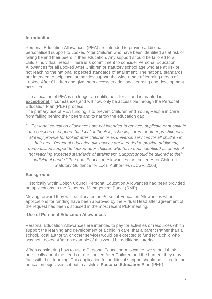#### **Introduction**

Personal Education Allowances (PEA) are intended to provide additional, personalised support to Looked After Children who have been identified as at risk of falling behind their peers in their education. Any support should be tailored to a child's individual needs. There is a commitment to consider Personal Education Allowances for all Looked After Children of statutory school age who are at risk of not reaching the national expected standards of attainment. The national standards are intended to help local authorities support the wide range of learning needs of [Looked After](http://www.proceduresonline.com/resources/keywords_online/nat_key/keywords/looked_after.html) Children and give them access to additional learning and development activities.

The allocation of PEA is no longer an entitlement for all and is granted in **exceptional** circumstances and will now only be accessible through the Personal Education Plan (PEP) process.

The primary use of PEA funding is to prevent Children and Young People in Care from falling behind their peers and to narrow the education gap.

*"…Personal education allowances are not intended to replace, duplicate or substitute the services or support that local authorities, schools, carers or other practitioners already provide for looked after children or as universal services for all children in their area. Personal education allowances are intended to provide additional, personalised support to looked-after-children who have been identified as at risk of not reaching expected standards of attainment. Support should be tailored to their individual needs."* Personal Education Allowances for Looked After Children: Statutory Guidance for Local Authorities (DCSF: 2008)

#### **Background**

Historically within Bolton Council Personal Education Allowances had been provided on applications to the Resource Management Panel (RMP).

Moving forward they will be allocated as Personal Education Allowances when applications for funding have been approved by the Virtual Head after agreement of the request has been discussed in the most recent PEP meeting.

#### **Use of Personal Education Allowances**

Personal Education Allowances are intended to pay for activities or resources which support the learning and development of a child in care, that a parent (rather than a school, local authority, or other service) would be expected to fund for a child who was not Looked After an example of this would be additional tutoring.

When considering how to use a Personal Education Allowance, we should think holistically about the needs of our Looked After Children and the barriers they may face with their learning. This application for additional support should be linked to the education objectives set out in a child's **[Personal Education Plan](http://www.proceduresonline.com/resources/keywords_online/nat_key/keywords/pers_education_plan.html)** (PEP).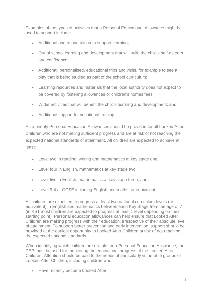Examples of the types of activities that a Personal Educational Allowance might be used to support include:

- Additional one to one tuition to support learning;
- Out of school learning and development that will build the child's self-esteem and confidence;
- Additional, personalised, educational trips and visits, for example to see a play that is being studied as part of the school curriculum;
- Learning resources and materials that the local authority does not expect to be covered by fostering allowances or children's homes fees;
- Wider activities that will benefit the child's learning and development; and
- Additional support for vocational training.

As a priority Personal Education Allowances should be provided for all Looked After Children who are not making sufficient progress and are at risk of not reaching the expected national standards of attainment. All children are expected to achieve at least:

- Level two in reading, writing and mathematics at key stage one;
- Level four in English, mathematics at key stage two;
- Level five in English, mathematics at key stage three; and
- Level 9-4 at GCSE including English and maths, or equivalent.

All children are expected to progress at least two national curriculum levels (or equivalent) in English and mathematics between each Key Stage from the age of 7 (in KS1 most children are expected to progress at least 1 level depending on their starting point). Personal education allowances can help ensure that Looked After Children are making progress with their education, irrespective of their absolute level of attainment. To support better prevention and early intervention, support should be provided at the earliest opportunity to Looked After Children at risk of not reaching the expected national standards.

When identifying which children are eligible for a Personal Education Allowance, the PEP must be used for monitoring the educational progress of the Looked After Children. Attention should be paid to the needs of particularly vulnerable groups of Looked After Children, including children who:

• Have recently become Looked After;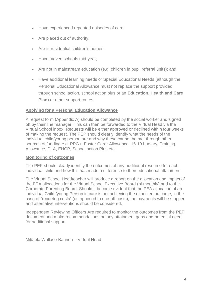- Have experienced repeated episodes of care;
- Are placed out of authority:
- Are in residential children's homes;
- Have moved schools mid-year;
- Are not in mainstream education (e.g. children in pupil referral units); and
- Have additional learning needs or Special Educational Needs (although the Personal Educational Allowance must not replace the support provided through school action, school action plus or an **[Education, Health and Care](http://trixresources.proceduresonline.com/nat_key/keywords/ed_health_care_plan.html)  [Plan](http://trixresources.proceduresonline.com/nat_key/keywords/ed_health_care_plan.html)**) or other support routes.

#### **Applying for a Personal Education Allowance**

A request form (Appendix A) should be completed by the social worker and signed off by their line manager. This can then be forwarded to the Virtual Head via the Virtual School inbox. Requests will be either approved or declined within four weeks of making the request. The PEP should clearly identify what the needs of the individual child/young person are and why these cannot be met through other sources of funding e.g. PPG+, Foster Carer Allowance, 16-19 bursary, Training Allowance, DLA, EHCP, School action Plus etc.

#### **Monitoring of outcomes**

The PEP should clearly identify the outcomes of any additional resource for each individual child and how this has made a difference to their educational attainment.

The Virtual School Headteacher will produce a report on the allocation and impact of the PEA allocations for the Virtual School Executive Board (bi-monthly) and to the Corporate Parenting Board. Should it become evident that the PEA allocation of an individual Child /young Person in care is not achieving the expected outcome, in the case of "recurring costs" (as opposed to one-off costs), the payments will be stopped and alternative interventions should be considered.

Independent Reviewing Officers Are required to monitor the outcomes from the PEP document and make recommendations on any attainment gaps and potential need for additional support.

Mikaela Wallace-Bannon – Virtual Head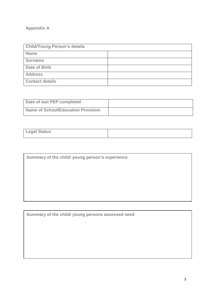### **Appendix A**

| <b>Child/Young Person's details</b> |  |  |
|-------------------------------------|--|--|
| <b>Name</b>                         |  |  |
| <b>Surname</b>                      |  |  |
| Date of Birth                       |  |  |
| <b>Address</b>                      |  |  |
| <b>Contact details</b>              |  |  |

| Date of last PEP completed         |  |
|------------------------------------|--|
| Name of School/Education Provision |  |

| <b>Legal Status</b> |  |
|---------------------|--|

**Summary of the child/ young persons assessed need**